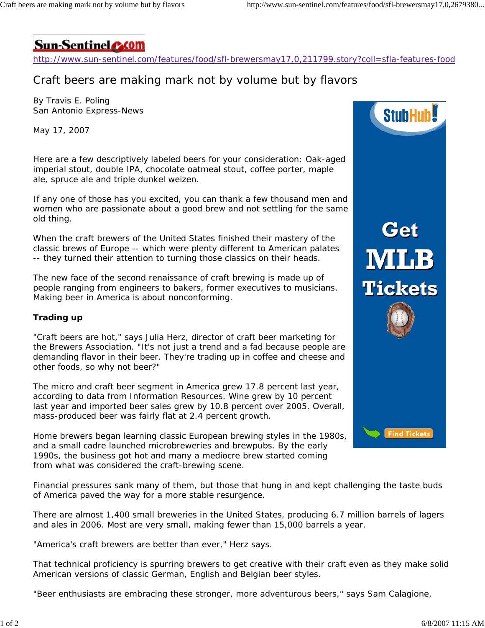

http://www.sun-sentinel.com/features/food/sfl-brewersmay17,0,211799.story?coll=sfla-features-food

## Craft beers are making mark not by volume but by flavors

By Travis E. Poling San Antonio Express-News

May 17, 2007

Here are a few descriptively labeled beers for your consideration: Oak-aged imperial stout, double IPA, chocolate oatmeal stout, coffee porter, maple ale, spruce ale and triple dunkel weizen.

If any one of those has you excited, you can thank a few thousand men and women who are passionate about a good brew and not settling for the same old thing.

When the craft brewers of the United States finished their mastery of the classic brews of Europe -- which were plenty different to American palates -- they turned their attention to turning those classics on their heads.

The new face of the second renaissance of craft brewing is made up of people ranging from engineers to bakers, former executives to musicians. Making beer in America is about nonconforming.

## **Trading up**

"Craft beers are hot," says Julia Herz, director of craft beer marketing for the Brewers Association. "It's not just a trend and a fad because people are demanding flavor in their beer. They're trading up in coffee and cheese and other foods, so why not beer?"

The micro and craft beer segment in America grew 17.8 percent last year, according to data from Information Resources. Wine grew by 10 percent last year and imported beer sales grew by 10.8 percent over 2005. Overall, mass-produced beer was fairly flat at 2.4 percent growth.

Home brewers began learning classic European brewing styles in the 1980s, and a small cadre launched microbreweries and brewpubs. By the early 1990s, the business got hot and many a mediocre brew started coming from what was considered the craft-brewing scene.

Financial pressures sank many of them, but those that hung in and kept challenging the taste buds of America paved the way for a more stable resurgence.

There are almost 1,400 small breweries in the United States, producing 6.7 million barrels of lagers and ales in 2006. Most are very small, making fewer than 15,000 barrels a year.

"America's craft brewers are better than ever," Herz says.

That technical proficiency is spurring brewers to get creative with their craft even as they make solid American versions of classic German, English and Belgian beer styles.

"Beer enthusiasts are embracing these stronger, more adventurous beers," says Sam Calagione,